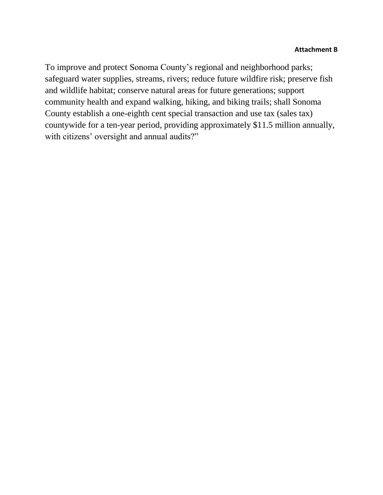#### **Attachment B**

To improve and protect Sonoma County's regional and neighborhood parks; safeguard water supplies, streams, rivers; reduce future wildfire risk; preserve fish and wildlife habitat; conserve natural areas for future generations; support community health and expand walking, hiking, and biking trails; shall Sonoma County establish a one-eighth cent special transaction and use tax (sales tax) countywide for a ten-year period, providing approximately \$11.5 million annually, with citizens' oversight and annual audits?"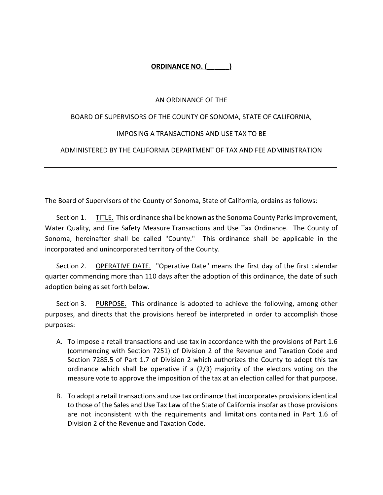#### **ORDINANCE NO. (\_\_\_\_\_\_)**

#### AN ORDINANCE OF THE

#### BOARD OF SUPERVISORS OF THE COUNTY OF SONOMA, STATE OF CALIFORNIA,

#### IMPOSING A TRANSACTIONS AND USE TAX TO BE

#### ADMINISTERED BY THE CALIFORNIA DEPARTMENT OF TAX AND FEE ADMINISTRATION

The Board of Supervisors of the County of Sonoma, State of California, ordains as follows:

Section 1. TITLE. This ordinance shall be known as the Sonoma County Parks Improvement, Water Quality, and Fire Safety Measure Transactions and Use Tax Ordinance. The County of Sonoma, hereinafter shall be called "County." This ordinance shall be applicable in the incorporated and unincorporated territory of the County.

Section 2. OPERATIVE DATE. "Operative Date" means the first day of the first calendar quarter commencing more than 110 days after the adoption of this ordinance, the date of such adoption being as set forth below.

Section 3. PURPOSE. This ordinance is adopted to achieve the following, among other purposes, and directs that the provisions hereof be interpreted in order to accomplish those purposes:

- A. To impose a retail transactions and use tax in accordance with the provisions of Part 1.6 (commencing with Section 7251) of Division 2 of the Revenue and Taxation Code and Section 7285.5 of Part 1.7 of Division 2 which authorizes the County to adopt this tax ordinance which shall be operative if a (2/3) majority of the electors voting on the measure vote to approve the imposition of the tax at an election called for that purpose.
- B. To adopt a retail transactions and use tax ordinance that incorporates provisions identical to those of the Sales and Use Tax Law of the State of California insofar as those provisions are not inconsistent with the requirements and limitations contained in Part 1.6 of Division 2 of the Revenue and Taxation Code.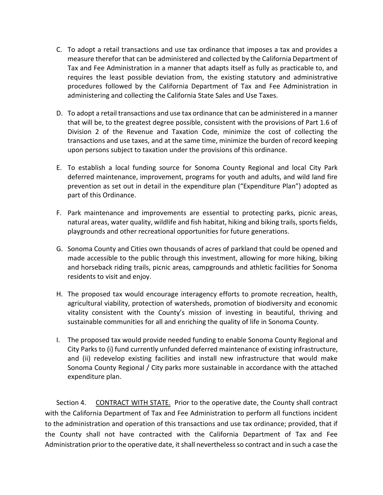- C. To adopt a retail transactions and use tax ordinance that imposes a tax and provides a measure therefor that can be administered and collected by the California Department of Tax and Fee Administration in a manner that adapts itself as fully as practicable to, and requires the least possible deviation from, the existing statutory and administrative procedures followed by the California Department of Tax and Fee Administration in administering and collecting the California State Sales and Use Taxes.
- D. To adopt a retail transactions and use tax ordinance that can be administered in a manner that will be, to the greatest degree possible, consistent with the provisions of Part 1.6 of Division 2 of the Revenue and Taxation Code, minimize the cost of collecting the transactions and use taxes, and at the same time, minimize the burden of record keeping upon persons subject to taxation under the provisions of this ordinance.
- E. To establish a local funding source for Sonoma County Regional and local City Park deferred maintenance, improvement, programs for youth and adults, and wild land fire prevention as set out in detail in the expenditure plan ("Expenditure Plan") adopted as part of this Ordinance.
- F. Park maintenance and improvements are essential to protecting parks, picnic areas, natural areas, water quality, wildlife and fish habitat, hiking and biking trails, sports fields, playgrounds and other recreational opportunities for future generations.
- G. Sonoma County and Cities own thousands of acres of parkland that could be opened and made accessible to the public through this investment, allowing for more hiking, biking and horseback riding trails, picnic areas, campgrounds and athletic facilities for Sonoma residents to visit and enjoy.
- H. The proposed tax would encourage interagency efforts to promote recreation, health, agricultural viability, protection of watersheds, promotion of biodiversity and economic vitality consistent with the County's mission of investing in beautiful, thriving and sustainable communities for all and enriching the quality of life in Sonoma County.
- I. The proposed tax would provide needed funding to enable Sonoma County Regional and City Parks to (i) fund currently unfunded deferred maintenance of existing infrastructure, and (ii) redevelop existing facilities and install new infrastructure that would make Sonoma County Regional / City parks more sustainable in accordance with the attached expenditure plan.

Section 4. CONTRACT WITH STATE. Prior to the operative date, the County shall contract with the California Department of Tax and Fee Administration to perform all functions incident to the administration and operation of this transactions and use tax ordinance; provided, that if the County shall not have contracted with the California Department of Tax and Fee Administration prior to the operative date, it shall nevertheless so contract and in such a case the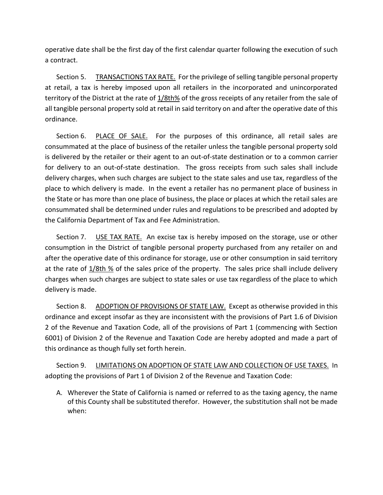operative date shall be the first day of the first calendar quarter following the execution of such a contract.

Section 5. TRANSACTIONS TAX RATE. For the privilege of selling tangible personal property at retail, a tax is hereby imposed upon all retailers in the incorporated and unincorporated territory of the District at the rate of 1/8th% of the gross receipts of any retailer from the sale of all tangible personal property sold at retail in said territory on and after the operative date of this ordinance.

Section 6. PLACE OF SALE. For the purposes of this ordinance, all retail sales are consummated at the place of business of the retailer unless the tangible personal property sold is delivered by the retailer or their agent to an out-of-state destination or to a common carrier for delivery to an out-of-state destination. The gross receipts from such sales shall include delivery charges, when such charges are subject to the state sales and use tax, regardless of the place to which delivery is made. In the event a retailer has no permanent place of business in the State or has more than one place of business, the place or places at which the retail sales are consummated shall be determined under rules and regulations to be prescribed and adopted by the California Department of Tax and Fee Administration.

Section 7. USE TAX RATE. An excise tax is hereby imposed on the storage, use or other consumption in the District of tangible personal property purchased from any retailer on and after the operative date of this ordinance for storage, use or other consumption in said territory at the rate of 1/8th % of the sales price of the property. The sales price shall include delivery charges when such charges are subject to state sales or use tax regardless of the place to which delivery is made.

Section 8. ADOPTION OF PROVISIONS OF STATE LAW. Except as otherwise provided in this ordinance and except insofar as they are inconsistent with the provisions of Part 1.6 of Division 2 of the Revenue and Taxation Code, all of the provisions of Part 1 (commencing with Section 6001) of Division 2 of the Revenue and Taxation Code are hereby adopted and made a part of this ordinance as though fully set forth herein.

Section 9. LIMITATIONS ON ADOPTION OF STATE LAW AND COLLECTION OF USE TAXES. In adopting the provisions of Part 1 of Division 2 of the Revenue and Taxation Code:

A. Wherever the State of California is named or referred to as the taxing agency, the name of this County shall be substituted therefor. However, the substitution shall not be made when: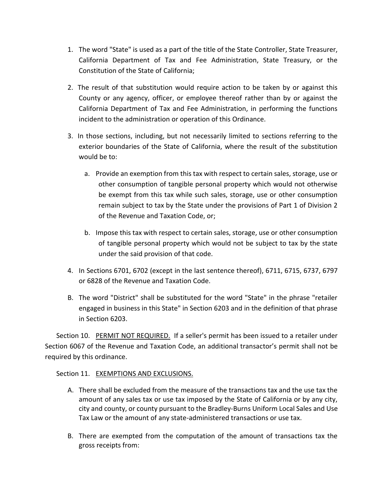- 1. The word "State" is used as a part of the title of the State Controller, State Treasurer, California Department of Tax and Fee Administration, State Treasury, or the Constitution of the State of California;
- 2. The result of that substitution would require action to be taken by or against this County or any agency, officer, or employee thereof rather than by or against the California Department of Tax and Fee Administration, in performing the functions incident to the administration or operation of this Ordinance.
- 3. In those sections, including, but not necessarily limited to sections referring to the exterior boundaries of the State of California, where the result of the substitution would be to:
	- a. Provide an exemption from this tax with respect to certain sales, storage, use or other consumption of tangible personal property which would not otherwise be exempt from this tax while such sales, storage, use or other consumption remain subject to tax by the State under the provisions of Part 1 of Division 2 of the Revenue and Taxation Code, or;
	- b. Impose this tax with respect to certain sales, storage, use or other consumption of tangible personal property which would not be subject to tax by the state under the said provision of that code.
- 4. In Sections 6701, 6702 (except in the last sentence thereof), 6711, 6715, 6737, 6797 or 6828 of the Revenue and Taxation Code.
- B. The word "District" shall be substituted for the word "State" in the phrase "retailer engaged in business in this State" in Section 6203 and in the definition of that phrase in Section 6203.

Section 10. PERMIT NOT REQUIRED. If a seller's permit has been issued to a retailer under Section 6067 of the Revenue and Taxation Code, an additional transactor's permit shall not be required by this ordinance.

## Section 11. EXEMPTIONS AND EXCLUSIONS.

- A. There shall be excluded from the measure of the transactions tax and the use tax the amount of any sales tax or use tax imposed by the State of California or by any city, city and county, or county pursuant to the Bradley-Burns Uniform Local Sales and Use Tax Law or the amount of any state-administered transactions or use tax.
- B. There are exempted from the computation of the amount of transactions tax the gross receipts from: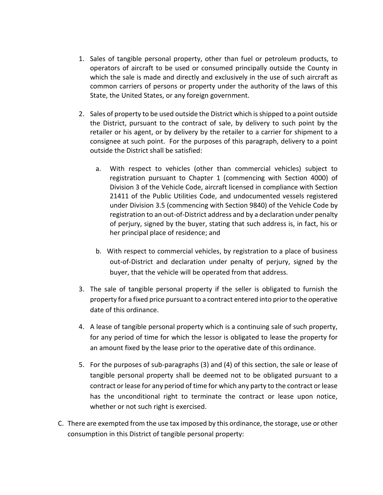- 1. Sales of tangible personal property, other than fuel or petroleum products, to operators of aircraft to be used or consumed principally outside the County in which the sale is made and directly and exclusively in the use of such aircraft as common carriers of persons or property under the authority of the laws of this State, the United States, or any foreign government.
- 2. Sales of property to be used outside the District which is shipped to a point outside the District, pursuant to the contract of sale, by delivery to such point by the retailer or his agent, or by delivery by the retailer to a carrier for shipment to a consignee at such point. For the purposes of this paragraph, delivery to a point outside the District shall be satisfied:
	- a. With respect to vehicles (other than commercial vehicles) subject to registration pursuant to Chapter 1 (commencing with Section 4000) of Division 3 of the Vehicle Code, aircraft licensed in compliance with Section 21411 of the Public Utilities Code, and undocumented vessels registered under Division 3.5 (commencing with Section 9840) of the Vehicle Code by registration to an out-of-District address and by a declaration under penalty of perjury, signed by the buyer, stating that such address is, in fact, his or her principal place of residence; and
	- b. With respect to commercial vehicles, by registration to a place of business out-of-District and declaration under penalty of perjury, signed by the buyer, that the vehicle will be operated from that address.
- 3. The sale of tangible personal property if the seller is obligated to furnish the property for a fixed price pursuant to a contract entered into prior to the operative date of this ordinance.
- 4. A lease of tangible personal property which is a continuing sale of such property, for any period of time for which the lessor is obligated to lease the property for an amount fixed by the lease prior to the operative date of this ordinance.
- 5. For the purposes of sub-paragraphs (3) and (4) of this section, the sale or lease of tangible personal property shall be deemed not to be obligated pursuant to a contract or lease for any period of time for which any party to the contract or lease has the unconditional right to terminate the contract or lease upon notice, whether or not such right is exercised.
- C. There are exempted from the use tax imposed by this ordinance, the storage, use or other consumption in this District of tangible personal property: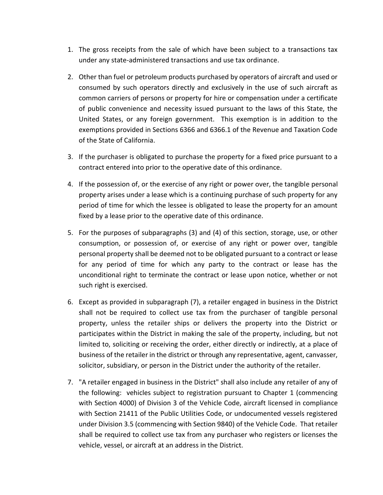- 1. The gross receipts from the sale of which have been subject to a transactions tax under any state-administered transactions and use tax ordinance.
- 2. Other than fuel or petroleum products purchased by operators of aircraft and used or consumed by such operators directly and exclusively in the use of such aircraft as common carriers of persons or property for hire or compensation under a certificate of public convenience and necessity issued pursuant to the laws of this State, the United States, or any foreign government. This exemption is in addition to the exemptions provided in Sections 6366 and 6366.1 of the Revenue and Taxation Code of the State of California.
- 3. If the purchaser is obligated to purchase the property for a fixed price pursuant to a contract entered into prior to the operative date of this ordinance.
- 4. If the possession of, or the exercise of any right or power over, the tangible personal property arises under a lease which is a continuing purchase of such property for any period of time for which the lessee is obligated to lease the property for an amount fixed by a lease prior to the operative date of this ordinance.
- 5. For the purposes of subparagraphs (3) and (4) of this section, storage, use, or other consumption, or possession of, or exercise of any right or power over, tangible personal property shall be deemed not to be obligated pursuant to a contract or lease for any period of time for which any party to the contract or lease has the unconditional right to terminate the contract or lease upon notice, whether or not such right is exercised.
- 6. Except as provided in subparagraph (7), a retailer engaged in business in the District shall not be required to collect use tax from the purchaser of tangible personal property, unless the retailer ships or delivers the property into the District or participates within the District in making the sale of the property, including, but not limited to, soliciting or receiving the order, either directly or indirectly, at a place of business of the retailer in the district or through any representative, agent, canvasser, solicitor, subsidiary, or person in the District under the authority of the retailer.
- 7. "A retailer engaged in business in the District" shall also include any retailer of any of the following: vehicles subject to registration pursuant to Chapter 1 (commencing with Section 4000) of Division 3 of the Vehicle Code, aircraft licensed in compliance with Section 21411 of the Public Utilities Code, or undocumented vessels registered under Division 3.5 (commencing with Section 9840) of the Vehicle Code. That retailer shall be required to collect use tax from any purchaser who registers or licenses the vehicle, vessel, or aircraft at an address in the District.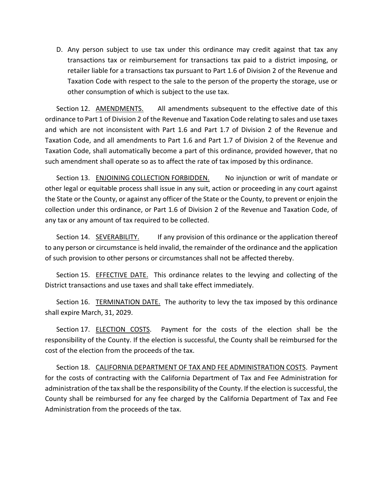D. Any person subject to use tax under this ordinance may credit against that tax any transactions tax or reimbursement for transactions tax paid to a district imposing, or retailer liable for a transactions tax pursuant to Part 1.6 of Division 2 of the Revenue and Taxation Code with respect to the sale to the person of the property the storage, use or other consumption of which is subject to the use tax.

Section 12. AMENDMENTS. All amendments subsequent to the effective date of this ordinance to Part 1 of Division 2 of the Revenue and Taxation Code relating to sales and use taxes and which are not inconsistent with Part 1.6 and Part 1.7 of Division 2 of the Revenue and Taxation Code, and all amendments to Part 1.6 and Part 1.7 of Division 2 of the Revenue and Taxation Code, shall automatically become a part of this ordinance, provided however, that no such amendment shall operate so as to affect the rate of tax imposed by this ordinance.

Section 13. ENJOINING COLLECTION FORBIDDEN. No injunction or writ of mandate or other legal or equitable process shall issue in any suit, action or proceeding in any court against the State or the County, or against any officer of the State or the County, to prevent or enjoin the collection under this ordinance, or Part 1.6 of Division 2 of the Revenue and Taxation Code, of any tax or any amount of tax required to be collected.

Section 14. SEVERABILITY. If any provision of this ordinance or the application thereof to any person or circumstance is held invalid, the remainder of the ordinance and the application of such provision to other persons or circumstances shall not be affected thereby.

Section 15. EFFECTIVE DATE. This ordinance relates to the levying and collecting of the District transactions and use taxes and shall take effect immediately.

Section 16. TERMINATION DATE. The authority to levy the tax imposed by this ordinance shall expire March, 31, 2029.

Section 17. **ELECTION COSTS**. Payment for the costs of the election shall be the responsibility of the County. If the election is successful, the County shall be reimbursed for the cost of the election from the proceeds of the tax.

Section 18. CALIFORNIA DEPARTMENT OF TAX AND FEE ADMINISTRATION COSTS. Payment for the costs of contracting with the California Department of Tax and Fee Administration for administration of the tax shall be the responsibility of the County. If the election is successful, the County shall be reimbursed for any fee charged by the California Department of Tax and Fee Administration from the proceeds of the tax.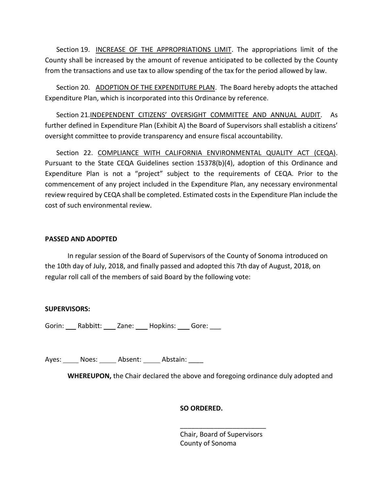Section 19. INCREASE OF THE APPROPRIATIONS LIMIT. The appropriations limit of the County shall be increased by the amount of revenue anticipated to be collected by the County from the transactions and use tax to allow spending of the tax for the period allowed by law.

Section 20. ADOPTION OF THE EXPENDITURE PLAN. The Board hereby adopts the attached Expenditure Plan, which is incorporated into this Ordinance by reference.

Section 21.INDEPENDENT CITIZENS' OVERSIGHT COMMITTEE AND ANNUAL AUDIT. As further defined in Expenditure Plan (Exhibit A) the Board of Supervisors shall establish a citizens' oversight committee to provide transparency and ensure fiscal accountability.

Section 22. COMPLIANCE WITH CALIFORNIA ENVIRONMENTAL QUALITY ACT (CEQA). Pursuant to the State CEQA Guidelines section 15378(b)(4), adoption of this Ordinance and Expenditure Plan is not a "project" subject to the requirements of CEQA. Prior to the commencement of any project included in the Expenditure Plan, any necessary environmental review required by CEQA shall be completed. Estimated costs in the Expenditure Plan include the cost of such environmental review.

#### **PASSED AND ADOPTED**

In regular session of the Board of Supervisors of the County of Sonoma introduced on the 10th day of July, 2018, and finally passed and adopted this 7th day of August, 2018, on regular roll call of the members of said Board by the following vote:

#### **SUPERVISORS:**

Gorin: Rabbitt: Zane: Hopkins: Gore:

Ayes: Noes: Absent: Abstain:

**WHEREUPON,** the Chair declared the above and foregoing ordinance duly adopted and

## **SO ORDERED.**

Chair, Board of Supervisors County of Sonoma

\_\_\_\_\_\_\_\_\_\_\_\_\_\_\_\_\_\_\_\_\_\_\_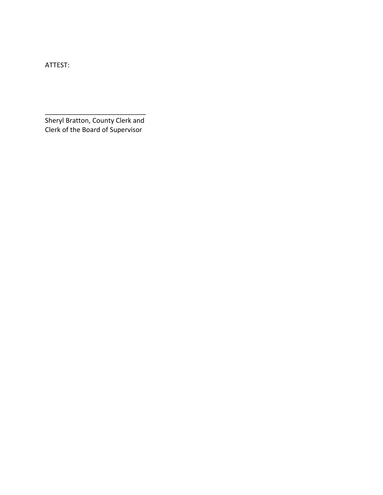ATTEST:

Sheryl Bratton, County Clerk and Clerk of the Board of Supervisor

\_\_\_\_\_\_\_\_\_\_\_\_\_\_\_\_\_\_\_\_\_\_\_\_\_\_\_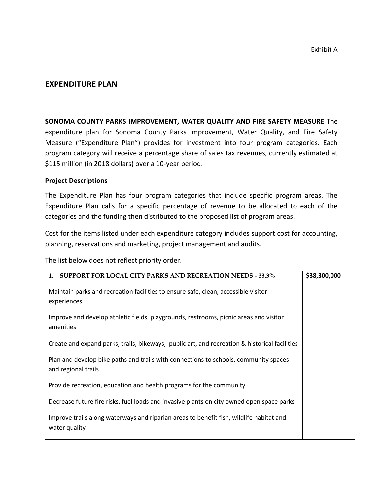# **EXPENDITURE PLAN**

**SONOMA COUNTY PARKS IMPROVEMENT, WATER QUALITY AND FIRE SAFETY MEASURE** The expenditure plan for Sonoma County Parks Improvement, Water Quality, and Fire Safety Measure ("Expenditure Plan") provides for investment into four program categories. Each program category will receive a percentage share of sales tax revenues, currently estimated at \$115 million (in 2018 dollars) over a 10-year period.

#### **Project Descriptions**

The Expenditure Plan has four program categories that include specific program areas. The Expenditure Plan calls for a specific percentage of revenue to be allocated to each of the categories and the funding then distributed to the proposed list of program areas.

Cost for the items listed under each expenditure category includes support cost for accounting, planning, reservations and marketing, project management and audits.

The list below does not reflect priority order.

| <b>SUPPORT FOR LOCAL CITY PARKS AND RECREATION NEEDS - 33.3%</b><br>1.                        | \$38,300,000 |
|-----------------------------------------------------------------------------------------------|--------------|
| Maintain parks and recreation facilities to ensure safe, clean, accessible visitor            |              |
| experiences                                                                                   |              |
| Improve and develop athletic fields, playgrounds, restrooms, picnic areas and visitor         |              |
| amenities                                                                                     |              |
| Create and expand parks, trails, bikeways, public art, and recreation & historical facilities |              |
| Plan and develop bike paths and trails with connections to schools, community spaces          |              |
| and regional trails                                                                           |              |
| Provide recreation, education and health programs for the community                           |              |
| Decrease future fire risks, fuel loads and invasive plants on city owned open space parks     |              |
| Improve trails along waterways and riparian areas to benefit fish, wildlife habitat and       |              |
| water quality                                                                                 |              |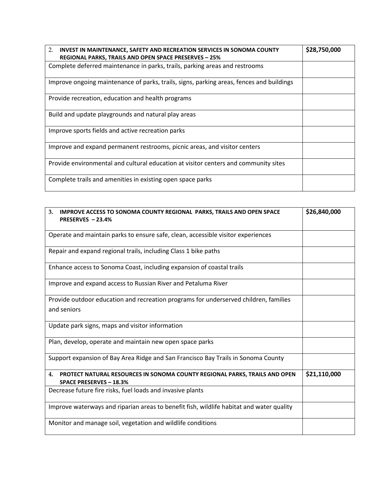| 2.<br>INVEST IN MAINTENANCE, SAFETY AND RECREATION SERVICES IN SONOMA COUNTY<br><b>REGIONAL PARKS, TRAILS AND OPEN SPACE PRESERVES - 25%</b> | \$28,750,000 |
|----------------------------------------------------------------------------------------------------------------------------------------------|--------------|
| Complete deferred maintenance in parks, trails, parking areas and restrooms                                                                  |              |
| Improve ongoing maintenance of parks, trails, signs, parking areas, fences and buildings                                                     |              |
| Provide recreation, education and health programs                                                                                            |              |
| Build and update playgrounds and natural play areas                                                                                          |              |
| Improve sports fields and active recreation parks                                                                                            |              |
| Improve and expand permanent restrooms, picnic areas, and visitor centers                                                                    |              |
| Provide environmental and cultural education at visitor centers and community sites                                                          |              |
| Complete trails and amenities in existing open space parks                                                                                   |              |

| 3.<br><b>IMPROVE ACCESS TO SONOMA COUNTY REGIONAL PARKS, TRAILS AND OPEN SPACE</b><br>PRESERVES - 23.4%            | \$26,840,000 |
|--------------------------------------------------------------------------------------------------------------------|--------------|
| Operate and maintain parks to ensure safe, clean, accessible visitor experiences                                   |              |
| Repair and expand regional trails, including Class 1 bike paths                                                    |              |
| Enhance access to Sonoma Coast, including expansion of coastal trails                                              |              |
| Improve and expand access to Russian River and Petaluma River                                                      |              |
| Provide outdoor education and recreation programs for underserved children, families<br>and seniors                |              |
| Update park signs, maps and visitor information                                                                    |              |
| Plan, develop, operate and maintain new open space parks                                                           |              |
| Support expansion of Bay Area Ridge and San Francisco Bay Trails in Sonoma County                                  |              |
| 4.<br>PROTECT NATURAL RESOURCES IN SONOMA COUNTY REGIONAL PARKS, TRAILS AND OPEN<br><b>SPACE PRESERVES - 18.3%</b> | \$21,110,000 |
| Decrease future fire risks, fuel loads and invasive plants                                                         |              |
| Improve waterways and riparian areas to benefit fish, wildlife habitat and water quality                           |              |
| Monitor and manage soil, vegetation and wildlife conditions                                                        |              |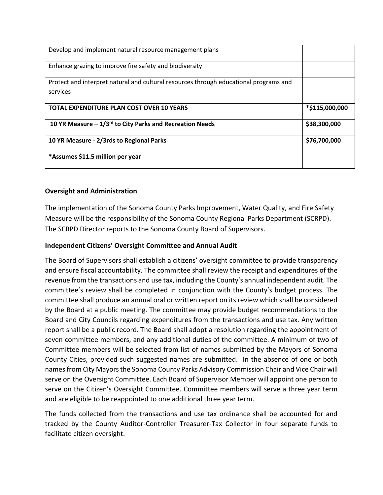| Develop and implement natural resource management plans                                           |                |
|---------------------------------------------------------------------------------------------------|----------------|
| Enhance grazing to improve fire safety and biodiversity                                           |                |
| Protect and interpret natural and cultural resources through educational programs and<br>services |                |
| <b>TOTAL EXPENDITURE PLAN COST OVER 10 YEARS</b>                                                  | *\$115,000,000 |
| 10 YR Measure $-1/3$ <sup>rd</sup> to City Parks and Recreation Needs                             | \$38,300,000   |
| 10 YR Measure - 2/3rds to Regional Parks                                                          | \$76,700,000   |
| *Assumes \$11.5 million per year                                                                  |                |

## **Oversight and Administration**

The implementation of the Sonoma County Parks Improvement, Water Quality, and Fire Safety Measure will be the responsibility of the Sonoma County Regional Parks Department (SCRPD). The SCRPD Director reports to the Sonoma County Board of Supervisors.

# **Independent Citizens' Oversight Committee and Annual Audit**

The Board of Supervisors shall establish a citizens' oversight committee to provide transparency and ensure fiscal accountability. The committee shall review the receipt and expenditures of the revenue from the transactions and use tax, including the County's annual independent audit. The committee's review shall be completed in conjunction with the County's budget process. The committee shall produce an annual oral or written report on its review which shall be considered by the Board at a public meeting. The committee may provide budget recommendations to the Board and City Councils regarding expenditures from the transactions and use tax. Any written report shall be a public record. The Board shall adopt a resolution regarding the appointment of seven committee members, and any additional duties of the committee. A minimum of two of Committee members will be selected from list of names submitted by the Mayors of Sonoma County Cities, provided such suggested names are submitted. In the absence of one or both names from City Mayors the Sonoma County Parks Advisory Commission Chair and Vice Chair will serve on the Oversight Committee. Each Board of Supervisor Member will appoint one person to serve on the Citizen's Oversight Committee. Committee members will serve a three year term and are eligible to be reappointed to one additional three year term.

The funds collected from the transactions and use tax ordinance shall be accounted for and tracked by the County Auditor-Controller Treasurer-Tax Collector in four separate funds to facilitate citizen oversight.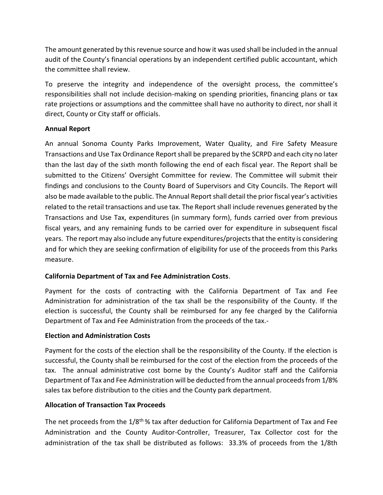The amount generated by this revenue source and how it was used shall be included in the annual audit of the County's financial operations by an independent certified public accountant, which the committee shall review.

To preserve the integrity and independence of the oversight process, the committee's responsibilities shall not include decision-making on spending priorities, financing plans or tax rate projections or assumptions and the committee shall have no authority to direct, nor shall it direct, County or City staff or officials.

## **Annual Report**

An annual Sonoma County Parks Improvement, Water Quality, and Fire Safety Measure Transactions and Use Tax Ordinance Report shall be prepared by the SCRPD and each city no later than the last day of the sixth month following the end of each fiscal year. The Report shall be submitted to the Citizens' Oversight Committee for review. The Committee will submit their findings and conclusions to the County Board of Supervisors and City Councils. The Report will also be made available to the public. The Annual Report shall detail the prior fiscal year's activities related to the retail transactions and use tax. The Report shall include revenues generated by the Transactions and Use Tax, expenditures (in summary form), funds carried over from previous fiscal years, and any remaining funds to be carried over for expenditure in subsequent fiscal years. The report may also include any future expenditures/projects that the entity is considering and for which they are seeking confirmation of eligibility for use of the proceeds from this Parks measure.

## **California Department of Tax and Fee Administration Costs**.

Payment for the costs of contracting with the California Department of Tax and Fee Administration for administration of the tax shall be the responsibility of the County. If the election is successful, the County shall be reimbursed for any fee charged by the California Department of Tax and Fee Administration from the proceeds of the tax.-

#### **Election and Administration Costs**

Payment for the costs of the election shall be the responsibility of the County. If the election is successful, the County shall be reimbursed for the cost of the election from the proceeds of the tax. The annual administrative cost borne by the County's Auditor staff and the California Department of Tax and Fee Administration will be deducted from the annual proceeds from 1/8% sales tax before distribution to the cities and the County park department.

## **Allocation of Transaction Tax Proceeds**

The net proceeds from the  $1/8<sup>th</sup>$ % tax after deduction for California Department of Tax and Fee Administration and the County Auditor-Controller, Treasurer, Tax Collector cost for the administration of the tax shall be distributed as follows: 33.3% of proceeds from the 1/8th